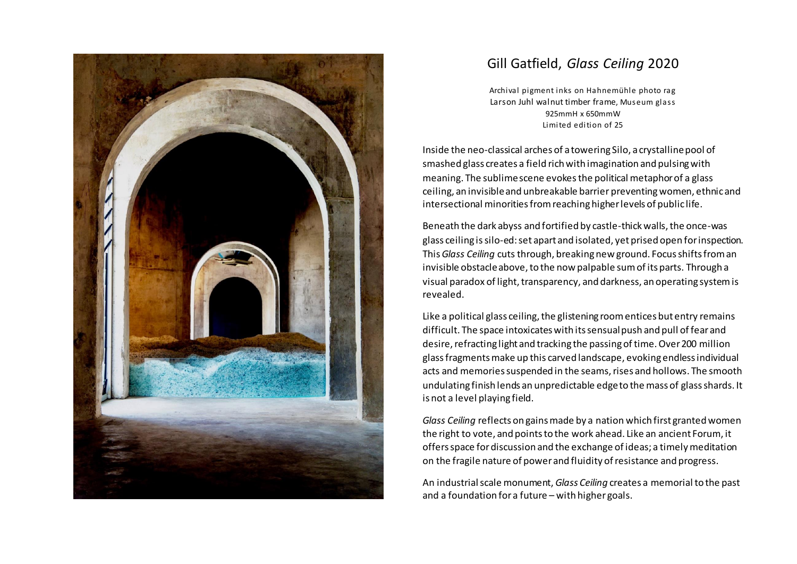

## Gill Gatfield, *Glass Ceiling* 2020

Archival pigment inks on Hahnemühle photo rag Larson Juhl walnut timber frame, Museum glass 925mmH x 650mmW Limited edition of 25

Inside the neo-classical arches of a towering Silo, a crystalline pool of smashed glass creates a field rich with imagination and pulsing with meaning. The sublime scene evokes the political metaphor of a glass ceiling, an invisible and unbreakable barrier preventingwomen, ethnicand intersectional minorities from reaching higher levels of public life.

Beneath the dark abyss and fortified by castle-thick walls, the once-was glass ceiling is silo-ed:set apart and isolated, yet prised open for inspection. This *Glass Ceiling* cuts through, breaking new ground. Focus shifts from an invisible obstacle above, to the now palpable sum of its parts. Through a visual paradox of light, transparency, and darkness, an operating system is revealed.

Like a political glass ceiling, the glistening room entices but entry remains difficult. The space intoxicates with its sensual push and pull of fear and desire, refracting light and tracking the passing of time. Over 200 million glass fragments make up this carved landscape, evoking endless individual acts and memories suspended in the seams, rises and hollows. The smooth undulating finish lends an unpredictable edge to the mass of glass shards. It is not a level playing field.

*Glass Ceiling* reflects on gains made by a nation which first granted women the right to vote, and points to the work ahead. Like an ancient Forum, it offers space for discussion and the exchange of ideas; a timely meditation on the fragile nature of power and fluidity of resistance and progress.

An industrial scale monument, *Glass Ceiling* creates a memorial to the past and a foundation for a future – with higher goals.